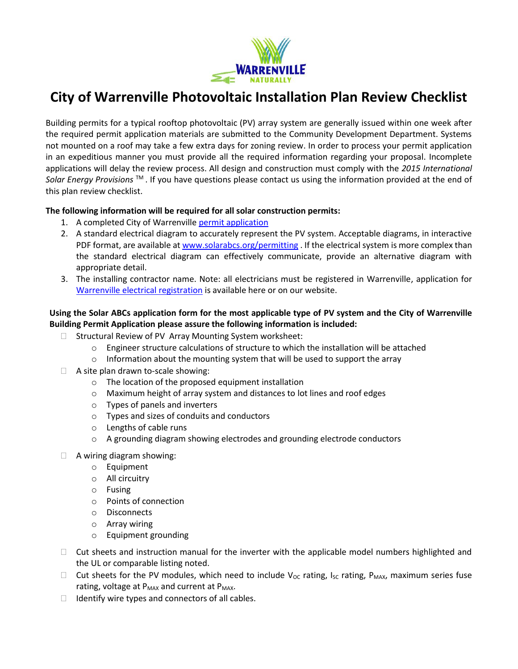

## **City of Warrenville Photovoltaic Installation Plan Review Checklist**

Building permits for a typical rooftop photovoltaic (PV) array system are generally issued within one week after the required permit application materials are submitted to the Community Development Department. Systems not mounted on a roof may take a few extra days for zoning review. In order to process your permit application in an expeditious manner you must provide all the required information regarding your proposal. Incomplete applications will delay the review process. All design and construction must comply with the *2015 International Solar Energy Provisions* TM . If you have questions please contact us using the information provided at the end of this plan review checklist.

## **The following information will be required for all solar construction permits:**

- 1. A completed City of Warrenville permit application
- 2. A standard electrical diagram to accurately represent the PV system. Acceptable diagrams, in interactive PDF format, are available a[t www.solarabcs.org/permitting](http://www.solarabcs.org/permitting) . If the electrical system is more complex than the standard electrical diagram can effectively communicate, provide an alternative diagram with appropriate detail.
- 3. The installing contractor name. Note: all electricians must be registered in Warrenville, application for [Warrenville electrical registration](http://warrenville.il.us/DocumentCenter/View/9303) is available here or on our website.

## **Using the Solar ABCs application form for the most applicable type of PV system and the City of Warrenville Building Permit Application please assure the following information is included:**

- □ Structural Review of PV Array Mounting System worksheet:
	- $\circ$  Engineer structure calculations of structure to which the installation will be attached
	- $\circ$  Information about the mounting system that will be used to support the array
- $\Box$  A site plan drawn to-scale showing:
	- o The location of the proposed equipment installation
	- o Maximum height of array system and distances to lot lines and roof edges
	- o Types of panels and inverters
	- o Types and sizes of conduits and conductors
	- o Lengths of cable runs
	- $\circ$  A grounding diagram showing electrodes and grounding electrode conductors
- A wiring diagram showing:
	- o Equipment
	- o All circuitry
	- o Fusing
	- o Points of connection
	- o Disconnects
	- o Array wiring
	- o Equipment grounding
- $\Box$  Cut sheets and instruction manual for the inverter with the applicable model numbers highlighted and the UL or comparable listing noted.
- $\Box$  Cut sheets for the PV modules, which need to include V<sub>oc</sub> rating, I<sub>sc</sub> rating, P<sub>MAX</sub>, maximum series fuse rating, voltage at  $P_{MAX}$  and current at  $P_{MAX}$ .
- $\Box$  Identify wire types and connectors of all cables.